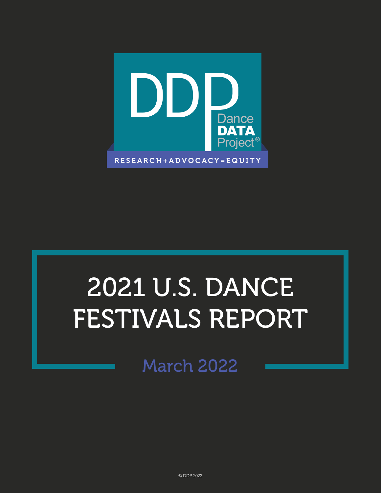

# 2021 U.S. DANCE FESTIVALS REPORT

March 2022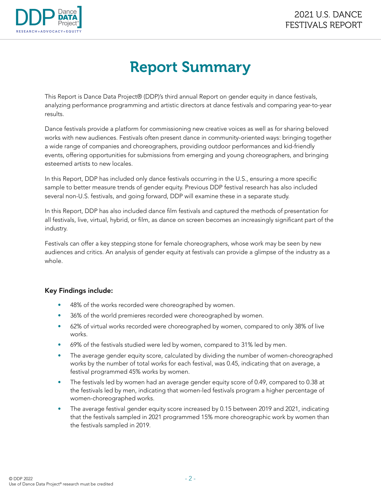

# Report Summary

This Report is Dance Data Project® (DDP)'s third annual Report on gender equity in dance festivals, analyzing performance programming and artistic directors at dance festivals and comparing year-to-year results.

Dance festivals provide a platform for commissioning new creative voices as well as for sharing beloved works with new audiences. Festivals often present dance in community-oriented ways: bringing together a wide range of companies and choreographers, providing outdoor performances and kid-friendly events, offering opportunities for submissions from emerging and young choreographers, and bringing esteemed artists to new locales.

In this Report, DDP has included only dance festivals occurring in the U.S., ensuring a more specific sample to better measure trends of gender equity. Previous DDP festival research has also included several non-U.S. festivals, and going forward, DDP will examine these in a separate study.

In this Report, DDP has also included dance film festivals and captured the methods of presentation for all festivals, live, virtual, hybrid, or film, as dance on screen becomes an increasingly significant part of the industry.

Festivals can offer a key stepping stone for female choreographers, whose work may be seen by new audiences and critics. An analysis of gender equity at festivals can provide a glimpse of the industry as a whole.

#### Key Findings include:

- 48% of the works recorded were choreographed by women.
- 36% of the world premieres recorded were choreographed by women.
- 62% of virtual works recorded were choreographed by women, compared to only 38% of live works.
- 69% of the festivals studied were led by women, compared to 31% led by men.
- The average gender equity score, calculated by dividing the number of women-choreographed works by the number of total works for each festival, was 0.45, indicating that on average, a festival programmed 45% works by women.
- The festivals led by women had an average gender equity score of 0.49, compared to 0.38 at the festivals led by men, indicating that women-led festivals program a higher percentage of women-choreographed works.
- The average festival gender equity score increased by 0.15 between 2019 and 2021, indicating that the festivals sampled in 2021 programmed 15% more choreographic work by women than the festivals sampled in 2019.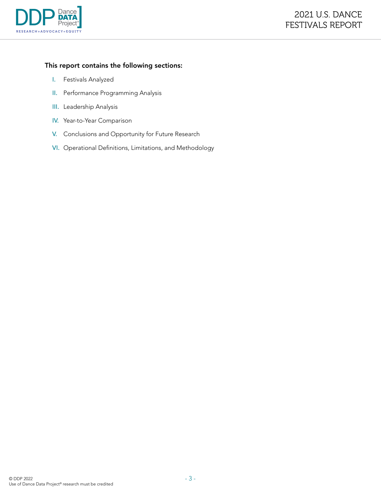

#### This report contains the following sections:

- I. Festivals Analyzed
- II. Performance Programming Analysis
- III. Leadership Analysis
- IV. Year-to-Year Comparison
- V. Conclusions and Opportunity for Future Research
- VI. Operational Definitions, Limitations, and Methodology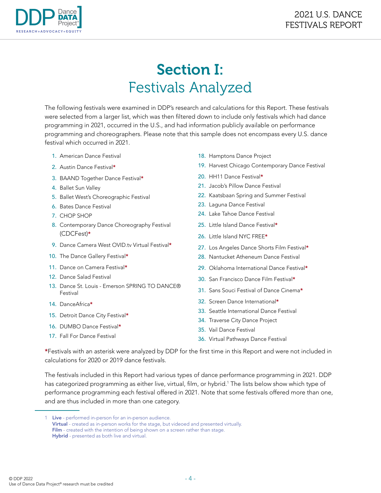

# Section I: Festivals Analyzed

The following festivals were examined in DDP's research and calculations for this Report. These festivals were selected from a larger list, which was then filtered down to include only festivals which had dance programming in 2021, occurred in the U.S., and had information publicly available on performance programming and choreographers. Please note that this sample does not encompass every U.S. dance festival which occurred in 2021.

- 1. American Dance Festival
- 2. Austin Dance Festival\*
- 3. BAAND Together Dance Festival\*
- 4. Ballet Sun Valley
- 5. Ballet West's Choreographic Festival
- 6. Bates Dance Festival
- 7. CHOP SHOP
- 8. Contemporary Dance Choreography Festival (CDCFest)\*
- 9. Dance Camera West OVID.tv Virtual Festival<sup>\*</sup>
- 10. The Dance Gallery Festival\*
- 11. Dance on Camera Festival\*
- 12. Dance Salad Festival
- 13. Dance St. Louis Emerson SPRING TO DANCE® Festival
- 14. DanceAfrica\*
- 15. Detroit Dance City Festival\*
- 16. DUMBO Dance Festival\*
- 17. Fall For Dance Festival
- 18. Hamptons Dance Project
- 19. Harvest Chicago Contemporary Dance Festival
- 20. HH11 Dance Festival<sup>\*</sup>
- 21. Jacob's Pillow Dance Festival
- 22. Kaatsbaan Spring and Summer Festival
- 23. Laguna Dance Festival
- 24. Lake Tahoe Dance Festival
- 25. Little Island Dance Festival\*
- 26. Little Island NYC FREE\*
- 27. Los Angeles Dance Shorts Film Festival\*
- 28. Nantucket Atheneum Dance Festival
- 29. Oklahoma International Dance Festival\*
- 30. San Francisco Dance Film Festival\*
- 31. Sans Souci Festival of Dance Cinema\*
- 32. Screen Dance International\*
- 33. Seattle International Dance Festival
- 34. Traverse City Dance Project
- 35. Vail Dance Festival
- 36. Virtual Pathways Dance Festival

\*Festivals with an asterisk were analyzed by DDP for the first time in this Report and were not included in calculations for 2020 or 2019 dance festivals.

The festivals included in this Report had various types of dance performance programming in 2021. DDP has categorized programming as either live, virtual, film, or hybrid.<sup>1</sup> The lists below show which type of performance programming each festival offered in 2021. Note that some festivals offered more than one, and are thus included in more than one category.

<sup>1</sup> Live - performed in-person for an in-person audience. Virtual - created as in-person works for the stage, but videoed and presented virtually. Film - created with the intention of being shown on a screen rather than stage. Hybrid - presented as both live and virtual.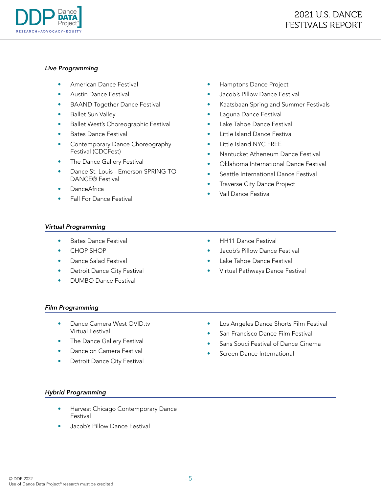

#### *Live Programming*

- American Dance Festival
- Austin Dance Festival
- BAAND Together Dance Festival
- Ballet Sun Valley
- Ballet West's Choreographic Festival
- Bates Dance Festival
- Contemporary Dance Choreography Festival (CDCFest)
- The Dance Gallery Festival
- Dance St. Louis Emerson SPRING TO DANCE® Festival
- DanceAfrica
- Fall For Dance Festival
- Hamptons Dance Project
- Jacob's Pillow Dance Festival
- Kaatsbaan Spring and Summer Festivals
- Laguna Dance Festival
- Lake Tahoe Dance Festival
- Little Island Dance Festival
- Little Island NYC FREE
- Nantucket Atheneum Dance Festival
- Oklahoma International Dance Festival
- Seattle International Dance Festival
- **Traverse City Dance Project**
- Vail Dance Festival

#### *Virtual Programming*

- Bates Dance Festival
- CHOP SHOP
- Dance Salad Festival
- Detroit Dance City Festival
- DUMBO Dance Festival
- HH11 Dance Festival
- Jacob's Pillow Dance Festival
- Lake Tahoe Dance Festival
- Virtual Pathways Dance Festival

#### *Film Programming*

- Dance Camera West OVID.tv Virtual Festival
- The Dance Gallery Festival
- Dance on Camera Festival
- Detroit Dance City Festival
- Los Angeles Dance Shorts Film Festival
- San Francisco Dance Film Festival
- Sans Souci Festival of Dance Cinema
- Screen Dance International

#### *Hybrid Programming*

- Harvest Chicago Contemporary Dance Festival
- Jacob's Pillow Dance Festival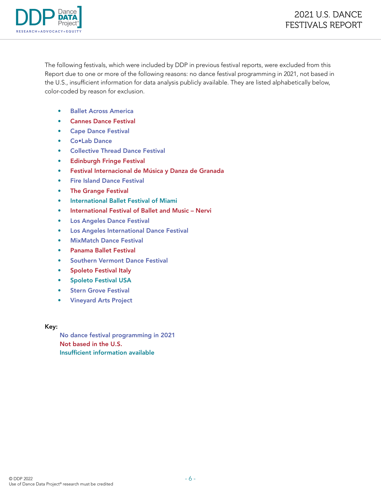

The following festivals, which were included by DDP in previous festival reports, were excluded from this Report due to one or more of the following reasons: no dance festival programming in 2021, not based in the U.S., insufficient information for data analysis publicly available. They are listed alphabetically below, color-coded by reason for exclusion.

- Ballet Across America
- Cannes Dance Festival
- Cape Dance Festival
- Co•Lab Dance
- Collective Thread Dance Festival
- Edinburgh Fringe Festival
- Festival Internacional de Música y Danza de Granada
- Fire Island Dance Festival
- The Grange Festival
- International Ballet Festival of Miami
- International Festival of Ballet and Music Nervi
- Los Angeles Dance Festival
- Los Angeles International Dance Festival
- MixMatch Dance Festival
- Panama Ballet Festival
- Southern Vermont Dance Festival
- Spoleto Festival Italy
- Spoleto Festival USA
- Stern Grove Festival
- Vineyard Arts Project

Key:

No dance festival programming in 2021 Not based in the U.S. Insufficient information available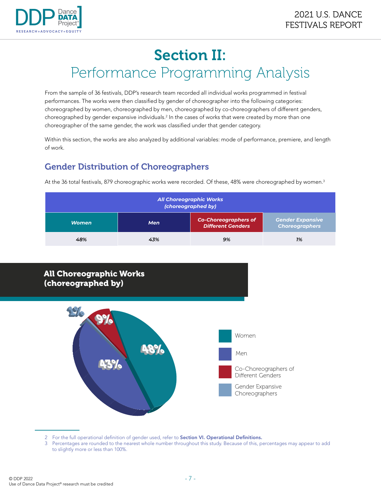

# Section II: Performance Programming Analysis

From the sample of 36 festivals, DDP's research team recorded all individual works programmed in festival performances. The works were then classified by gender of choreographer into the following categories: choreographed by women, choreographed by men, choreographed by co-choreographers of different genders, choreographed by gender expansive individuals.<sup>2</sup> In the cases of works that were created by more than one choreographer of the same gender, the work was classified under that gender category.

Within this section, the works are also analyzed by additional variables: mode of performance, premiere, and length of work.

At the 36 total festivals, 879 choreographic works were recorded. Of these, 48% were choreographed by women.<sup>3</sup>

# Gender Distribution of Choreographers

*All Choreographic Works (choreographed by) Women Men Co-Choreographers of Different Genders Gender Expansive Choreographers 48% 43% 9% 1%*



2 For the full operational definition of gender used, refer to **Section VI. Operational Definitions.** 

3 Percentages are rounded to the nearest whole number throughout this study. Because of this, percentages may appear to add to slightly more or less than 100%.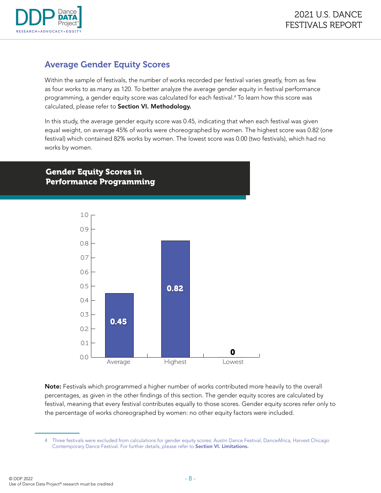

### Average Gender Equity Scores

Within the sample of festivals, the number of works recorded per festival varies greatly, from as few as four works to as many as 120. To better analyze the average gender equity in festival performance programming, a gender equity score was calculated for each festival.4 To learn how this score was calculated, please refer to Section VI. Methodology.

In this study, the average gender equity score was 0.45, indicating that when each festival was given equal weight, on average 45% of works were choreographed by women. The highest score was 0.82 (one festival) which contained 82% works by women. The lowest score was 0.00 (two festivals), which had no works by women.

#### Gender Equity Scores in Performance Programming



Note: Festivals which programmed a higher number of works contributed more heavily to the overall percentages, as given in the other findings of this section. The gender equity scores are calculated by festival, meaning that every festival contributes equally to those scores. Gender equity scores refer only to the percentage of works choreographed by women: no other equity factors were included.

<sup>4</sup> Three festivals were excluded from calculations for gender equity scores: Austin Dance Festival, DanceAfrica, Harvest Chicago Contemporary Dance Festival. For further details, please refer to Section VI. Limitations.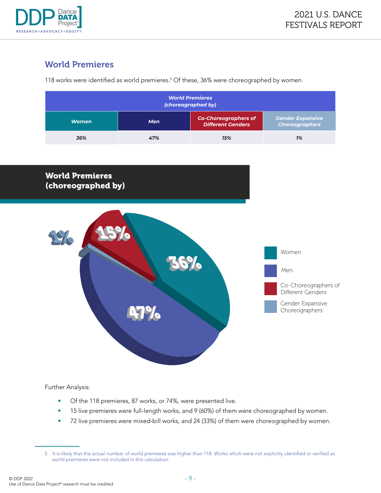

# World Premieres

118 works were identified as world premieres.<sup>5</sup> Of these, 36% were choreographed by women.

| <b>World Premieres</b><br>(choreographed by) |            |                                                         |                                                  |  |
|----------------------------------------------|------------|---------------------------------------------------------|--------------------------------------------------|--|
| <b>Women</b>                                 | <b>Men</b> | <b>Co-Choreographers of</b><br><b>Different Genders</b> | <b>Gender Expansive</b><br><b>Choreographers</b> |  |
| 36%                                          | 47%        | 15%                                                     | 1%                                               |  |

### World Premieres (choreographed by)



Further Analysis:

- Of the 118 premieres, 87 works, or 74%, were presented live.
- 15 live premieres were full-length works, and 9 (60%) of them were choreographed by women.
- 72 live premieres were mixed-bill works, and 24 (33%) of them were choreographed by women.

<sup>5</sup> It is likely that the actual number of world premieres was higher than 118. Works which were not explicitly identified or verified as world premieres were not included in this calculation.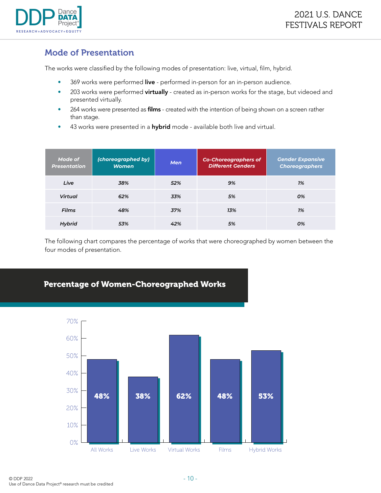

## Mode of Presentation

The works were classified by the following modes of presentation: live, virtual, film, hybrid.

- 369 works were performed live performed in-person for an in-person audience.
- 203 works were performed virtually created as in-person works for the stage, but videoed and presented virtually.
- 264 works were presented as films created with the intention of being shown on a screen rather than stage.
- 43 works were presented in a hybrid mode available both live and virtual.

| Mode of<br><b>Presentation</b> | (choreographed by)<br><b>Women</b> | <b>Men</b> | <b>Co-Choreographers of</b><br><b>Different Genders</b> | <b>Gender Expansive</b><br><b>Choreographers</b> |
|--------------------------------|------------------------------------|------------|---------------------------------------------------------|--------------------------------------------------|
| Live                           | 38%                                | 52%        | 9%                                                      | 1%                                               |
| Virtual                        | 62%                                | 33%        | 5%                                                      | 0%                                               |
| <b>Films</b>                   | 48%                                | 37%        | 13%                                                     | 1%                                               |
| Hybrid                         | 53%                                | 42%        | 5%                                                      | 0%                                               |

The following chart compares the percentage of works that were choreographed by women between the four modes of presentation.

### Percentage of Women-Choreographed Works

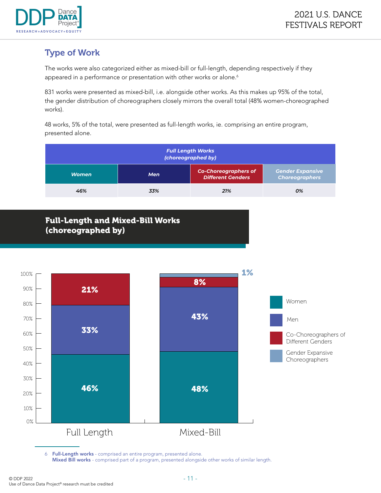

# Type of Work

The works were also categorized either as mixed-bill or full-length, depending respectively if they appeared in a performance or presentation with other works or alone.<sup>6</sup>

831 works were presented as mixed-bill, i.e. alongside other works. As this makes up 95% of the total, the gender distribution of choreographers closely mirrors the overall total (48% women-choreographed works).

48 works, 5% of the total, were presented as full-length works, ie. comprising an entire program, presented alone.

| <b>Full Length Works</b><br>(choreographed by) |     |                                                         |                                                  |
|------------------------------------------------|-----|---------------------------------------------------------|--------------------------------------------------|
| <b>Women</b>                                   | Men | <b>Co-Choreographers of</b><br><b>Different Genders</b> | <b>Gender Expansive</b><br><b>Choreographers</b> |
| 46%                                            | 33% | 21%                                                     | 0%                                               |

### Full-Length and Mixed-Bill Works (choreographed by)



6 Full-Length works - comprised an entire program, presented alone. Mixed Bill works - comprised part of a program, presented alongside other works of similar length.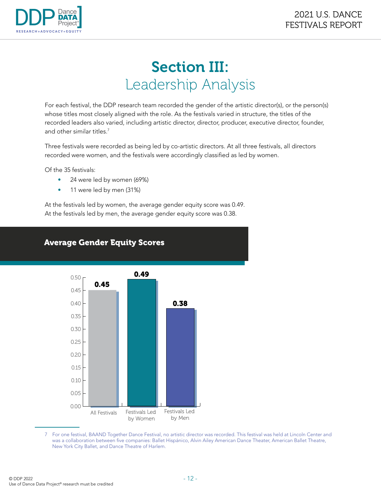

# Section III: Leadership Analysis

For each festival, the DDP research team recorded the gender of the artistic director(s), or the person(s) whose titles most closely aligned with the role. As the festivals varied in structure, the titles of the recorded leaders also varied, including artistic director, director, producer, executive director, founder, and other similar titles.<sup>7</sup>

Three festivals were recorded as being led by co-artistic directors. At all three festivals, all directors recorded were women, and the festivals were accordingly classified as led by women.

Of the 35 festivals:

- 24 were led by women (69%)
- 11 were led by men (31%)

At the festivals led by women, the average gender equity score was 0.49. At the festivals led by men, the average gender equity score was 0.38.



#### Average Gender Equity Scores

7 For one festival, BAAND Together Dance Festival, no artistic director was recorded. This festival was held at Lincoln Center and was a collaboration between five companies: Ballet Hispánico, Alvin Ailey American Dance Theater, American Ballet Theatre, New York City Ballet, and Dance Theatre of Harlem.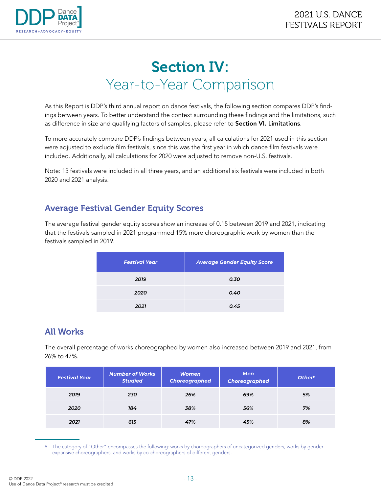

# Section IV: Year-to-Year Comparison

As this Report is DDP's third annual report on dance festivals, the following section compares DDP's findings between years. To better understand the context surrounding these findings and the limitations, such as difference in size and qualifying factors of samples, please refer to Section VI. Limitations.

To more accurately compare DDP's findings between years, all calculations for 2021 used in this section were adjusted to exclude film festivals, since this was the first year in which dance film festivals were included. Additionally, all calculations for 2020 were adjusted to remove non-U.S. festivals.

Note: 13 festivals were included in all three years, and an additional six festivals were included in both 2020 and 2021 analysis.

## Average Festival Gender Equity Scores

The average festival gender equity scores show an increase of 0.15 between 2019 and 2021, indicating that the festivals sampled in 2021 programmed 15% more choreographic work by women than the festivals sampled in 2019.

| <b>Festival Year</b> | <b>Average Gender Equity Score</b> |  |  |
|----------------------|------------------------------------|--|--|
| 2019                 | 0.30                               |  |  |
| 2020                 | 0.40                               |  |  |
| 2021                 | 0.45                               |  |  |

## All Works

The overall percentage of works choreographed by women also increased between 2019 and 2021, from 26% to 47%.

| <b>Festival Year</b> | <b>Number of Works</b><br><b>Studied</b> | <b>Women</b><br><b>Choreographed</b> | <b>Men</b><br><b>Choreographed</b> | Other <sup>8</sup> |
|----------------------|------------------------------------------|--------------------------------------|------------------------------------|--------------------|
| 2019                 | 230                                      | 26%                                  | 69%                                | 5%                 |
| 2020                 | 184                                      | 38%                                  | 56%                                | 7%                 |
| 2021                 | 615                                      | 47%                                  | 45%                                | 8%                 |

<sup>8</sup> The category of "Other" encompasses the following: works by choreographers of uncategorized genders, works by gender expansive choreographers, and works by co-choreographers of different genders.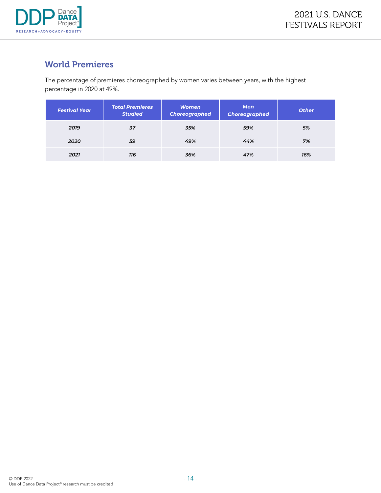

# World Premieres

The percentage of premieres choreographed by women varies between years, with the highest percentage in 2020 at 49%.

| <b>Festival Year</b> | <b>Total Premieres</b><br><b>Studied</b> | <b>Women</b><br><b>Choreographed</b> | <b>Men</b><br><b>Choreographed</b> | <b>Other</b> |
|----------------------|------------------------------------------|--------------------------------------|------------------------------------|--------------|
| 2019                 | 37                                       | 35%                                  | 59%                                | 5%           |
| 2020                 | 59                                       | 49%                                  | 44%                                | 7%           |
| 2021                 | 116                                      | 36%                                  | 47%                                | 16%          |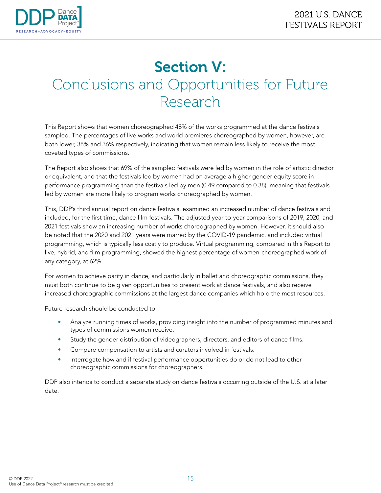

# Section V: Conclusions and Opportunities for Future Research

This Report shows that women choreographed 48% of the works programmed at the dance festivals sampled. The percentages of live works and world premieres choreographed by women, however, are both lower, 38% and 36% respectively, indicating that women remain less likely to receive the most coveted types of commissions.

The Report also shows that 69% of the sampled festivals were led by women in the role of artistic director or equivalent, and that the festivals led by women had on average a higher gender equity score in performance programming than the festivals led by men (0.49 compared to 0.38), meaning that festivals led by women are more likely to program works choreographed by women.

This, DDP's third annual report on dance festivals, examined an increased number of dance festivals and included, for the first time, dance film festivals. The adjusted year-to-year comparisons of 2019, 2020, and 2021 festivals show an increasing number of works choreographed by women. However, it should also be noted that the 2020 and 2021 years were marred by the COVID-19 pandemic, and included virtual programming, which is typically less costly to produce. Virtual programming, compared in this Report to live, hybrid, and film programming, showed the highest percentage of women-choreographed work of any category, at 62%.

For women to achieve parity in dance, and particularly in ballet and choreographic commissions, they must both continue to be given opportunities to present work at dance festivals, and also receive increased choreographic commissions at the largest dance companies which hold the most resources.

Future research should be conducted to:

- Analyze running times of works, providing insight into the number of programmed minutes and types of commissions women receive.
- Study the gender distribution of videographers, directors, and editors of dance films.
- Compare compensation to artists and curators involved in festivals.
- Interrogate how and if festival performance opportunities do or do not lead to other choreographic commissions for choreographers.

DDP also intends to conduct a separate study on dance festivals occurring outside of the U.S. at a later date.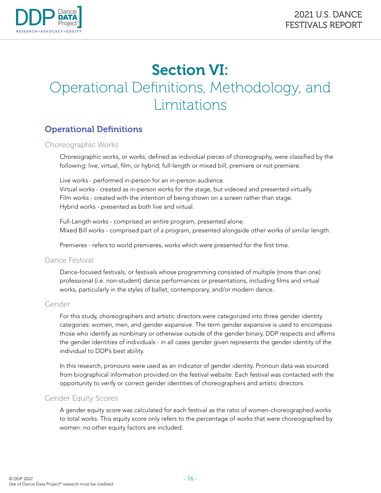

# Section VI: Operational Definitions, Methodology, and Limitations

# Operational Definitions

#### Choreographic Works

Choreographic works, or works, defined as individual pieces of choreography, were classified by the following: live, virtual, film, or hybrid; full-length or mixed bill; premiere or not premiere.

Live works - performed in-person for an in-person audience. Virtual works - created as in-person works for the stage, but videoed and presented virtually. Film works - created with the intention of being shown on a screen rather than stage. Hybrid works - presented as both live and virtual.

Full-Length works - comprised an entire program, presented alone. Mixed Bill works - comprised part of a program, presented alongside other works of similar length.

Premieres - refers to world premieres, works which were presented for the first time.

#### Dance Festival

Dance-focused festivals, or festivals whose programming consisted of multiple (more than one) professional (i.e. non-student) dance performances or presentations, including films and virtual works, particularly in the styles of ballet, contemporary, and/or modern dance.

#### Gender

For this study, choreographers and artistic directors were categorized into three gender identity categories: women, men, and gender expansive. The term gender expansive is used to encompass those who identify as nonbinary or otherwise outside of the gender binary. DDP respects and affirms the gender identities of individuals - in all cases gender given represents the gender identity of the individual to DDP's best ability.

In this research, pronouns were used as an indicator of gender identity. Pronoun data was sourced from biographical information provided on the festival website. Each festival was contacted with the opportunity to verify or correct gender identities of choreographers and artistic directors.

#### Gender Equity Scores

A gender equity score was calculated for each festival as the ratio of women-choreographed works to total works. This equity score only refers to the percentage of works that were choreographed by women: no other equity factors are included.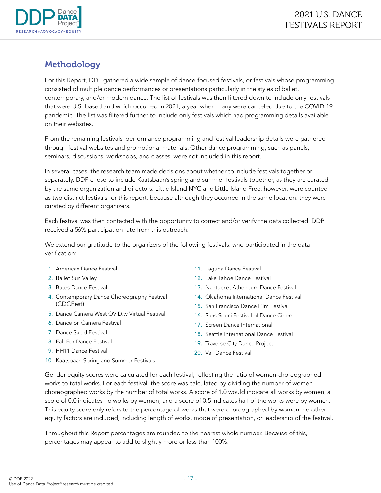

# Methodology

For this Report, DDP gathered a wide sample of dance-focused festivals, or festivals whose programming consisted of multiple dance performances or presentations particularly in the styles of ballet, contemporary, and/or modern dance. The list of festivals was then filtered down to include only festivals that were U.S.-based and which occurred in 2021, a year when many were canceled due to the COVID-19 pandemic. The list was filtered further to include only festivals which had programming details available on their websites.

From the remaining festivals, performance programming and festival leadership details were gathered through festival websites and promotional materials. Other dance programming, such as panels, seminars, discussions, workshops, and classes, were not included in this report.

In several cases, the research team made decisions about whether to include festivals together or separately. DDP chose to include Kaatsbaan's spring and summer festivals together, as they are curated by the same organization and directors. Little Island NYC and Little Island Free, however, were counted as two distinct festivals for this report, because although they occurred in the same location, they were curated by different organizers.

Each festival was then contacted with the opportunity to correct and/or verify the data collected. DDP received a 56% participation rate from this outreach.

We extend our gratitude to the organizers of the following festivals, who participated in the data verification:

- 1. American Dance Festival
- 2. Ballet Sun Valley
- 3. Bates Dance Festival
- 4. Contemporary Dance Choreography Festival (CDCFest)
- 5. Dance Camera West OVID.tv Virtual Festival
- 6. Dance on Camera Festival
- 7. Dance Salad Festival
- 8. Fall For Dance Festival
- 9. HH11 Dance Festival
- 10. Kaatsbaan Spring and Summer Festivals
- 11. Laguna Dance Festival
- 12. Lake Tahoe Dance Festival
- 13. Nantucket Atheneum Dance Festival
- 14. Oklahoma International Dance Festival
- 15. San Francisco Dance Film Festival
- 16. Sans Souci Festival of Dance Cinema
- 17. Screen Dance International
- 18. Seattle International Dance Festival
- 19. Traverse City Dance Project
- 20. Vail Dance Festival

Gender equity scores were calculated for each festival, reflecting the ratio of women-choreographed works to total works. For each festival, the score was calculated by dividing the number of womenchoreographed works by the number of total works. A score of 1.0 would indicate all works by women, a score of 0.0 indicates no works by women, and a score of 0.5 indicates half of the works were by women. This equity score only refers to the percentage of works that were choreographed by women: no other equity factors are included, including length of works, mode of presentation, or leadership of the festival.

Throughout this Report percentages are rounded to the nearest whole number. Because of this, percentages may appear to add to slightly more or less than 100%.